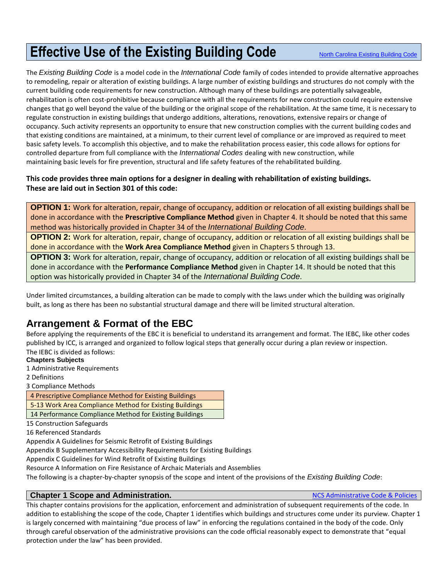# **Effective Use of the Existing Building Code** [North Carolina Existing Building Code](https://up.codes/viewer/north_carolina/iebc-2015)

The *Existing Building Code* is a model code in the *International Code* family of codes intended to provide alternative approaches to remodeling, repair or alteration of existing buildings. A large number of existing buildings and structures do not comply with the current building code requirements for new construction. Although many of these buildings are potentially salvageable, rehabilitation is often cost-prohibitive because compliance with all the requirements for new construction could require extensive changes that go well beyond the value of the building or the original scope of the rehabilitation. At the same time, it is necessary to regulate construction in existing buildings that undergo additions, alterations, renovations, extensive repairs or change of occupancy. Such activity represents an opportunity to ensure that new construction complies with the current building codes and that existing conditions are maintained, at a minimum, to their current level of compliance or are improved as required to meet basic safety levels. To accomplish this objective, and to make the rehabilitation process easier, this code allows for options for controlled departure from full compliance with the *International Codes* dealing with new construction, while maintaining basic levels for fire prevention, structural and life safety features of the rehabilitated building.

#### **This code provides three main options for a designer in dealing with rehabilitation of existing buildings. These are laid out in Section 301 of this code:**

**OPTION 1:** Work for alteration, repair, change of occupancy, addition or relocation of all existing buildings shall be done in accordance with the **Prescriptive Compliance Method** given in Chapter 4. It should be noted that this same method was historically provided in Chapter 34 of the *International Building Code*.

**OPTION 2:** Work for alteration, repair, change of occupancy, addition or relocation of all existing buildings shall be done in accordance with the **Work Area Compliance Method** given in Chapters 5 through 13.

**OPTION 3:** Work for alteration, repair, change of occupancy, addition or relocation of all existing buildings shall be done in accordance with the **Performance Compliance Method** given in Chapter 14. It should be noted that this option was historically provided in Chapter 34 of the *International Building Code*.

Under limited circumstances, a building alteration can be made to comply with the laws under which the building was originally built, as long as there has been no substantial structural damage and there will be limited structural alteration.

# **Arrangement & Format of the EBC**

Before applying the requirements of the EBC it is beneficial to understand its arrangement and format. The IEBC, like other codes published by ICC, is arranged and organized to follow logical steps that generally occur during a plan review or inspection. The IEBC is divided as follows:

**Chapters Subjects**

1 Administrative Requirements

2 Definitions

3 Compliance Methods

4 Prescriptive Compliance Method for Existing Buildings

5-13 Work Area Compliance Method for Existing Buildings

14 Performance Compliance Method for Existing Buildings

15 Construction Safeguards

16 Referenced Standards

Appendix A Guidelines for Seismic Retrofit of Existing Buildings

Appendix B Supplementary Accessibility Requirements for Existing Buildings

Appendix C Guidelines for Wind Retrofit of Existing Buildings

Resource A Information on Fire Resistance of Archaic Materials and Assemblies

The following is a chapter-by-chapter synopsis of the scope and intent of the provisions of the *Existing Building Code*:

# **Chapter 1 Scope and Administration.** The contraction of the code of the Code & Policies **Chapter 1 Scope and Administration.**

This chapter contains provisions for the application, enforcement and administration of subsequent requirements of the code. In addition to establishing the scope of the code, Chapter 1 identifies which buildings and structures come under its purview. Chapter 1 is largely concerned with maintaining "due process of law" in enforcing the regulations contained in the body of the code. Only through careful observation of the administrative provisions can the code official reasonably expect to demonstrate that "equal protection under the law" has been provided.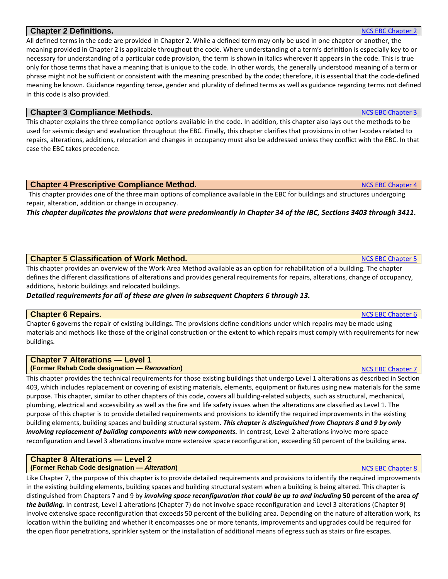# **Chapter 2 Definitions. [NCS EBC Chapter 2](https://up.codes/viewer/north_carolina/iebc-2015/chapter/2/definitions#2) Chapter 2 Definitions. NCS EBC Chapter 2**

All defined terms in the code are provided in Chapter 2. While a defined term may only be used in one chapter or another, the meaning provided in Chapter 2 is applicable throughout the code. Where understanding of a term's definition is especially key to or necessary for understanding of a particular code provision, the term is shown in italics wherever it appears in the code. This is true only for those terms that have a meaning that is unique to the code. In other words, the generally understood meaning of a term or phrase might not be sufficient or consistent with the meaning prescribed by the code; therefore, it is essential that the code-defined meaning be known. Guidance regarding tense, gender and plurality of defined terms as well as guidance regarding terms not defined in this code is also provided.

#### **Chapter 3 Compliance Methods.** Note that the state of the state of the state of the state of the state of the state of the state of the state of the state of the state of the state of the state of the state of the state o

This chapter explains the three compliance options available in the code. In addition, this chapter also lays out the methods to be used for seismic design and evaluation throughout the EBC. Finally, this chapter clarifies that provisions in other I-codes related to repairs, alterations, additions, relocation and changes in occupancy must also be addressed unless they conflict with the EBC. In that case the EBC takes precedence.

#### **Chapter 4 Prescriptive Compliance Method.** The component of the chapter 4 ACS EBC Chapter 4

This chapter provides one of the three main options of compliance available in the EBC for buildings and structures undergoing repair, alteration, addition or change in occupancy.

*This chapter duplicates the provisions that were predominantly in Chapter 34 of the IBC, Sections 3403 through 3411.*

# **Chapter 5 Classification of Work Method.** Note that the extent of the extent of the extent of the extent of the extent of the extent of the extent of the extent of the extent of the extent of the extent of the extent of t

This chapter provides an overview of the Work Area Method available as an option for rehabilitation of a building. The chapter defines the different classifications of alterations and provides general requirements for repairs, alterations, change of occupancy, additions, historic buildings and relocated buildings.

# *Detailed requirements for all of these are given in subsequent Chapters 6 through 13.*

# **Chapter 6 Repairs.** Note that the control of the control of the control of the control of the control of the chapter 6  $NCS$  EBC Chapter 6  $NCS$  EBC Chapter 6  $NCS$

Chapter 6 governs the repair of existing buildings. The provisions define conditions under which repairs may be made using materials and methods like those of the original construction or the extent to which repairs must comply with requirements for new buildings.

#### **Chapter 7 Alterations — Level 1 (Former Rehab Code designation —** *Renovation***) [NCS EBC Chapter](https://up.codes/viewer/north_carolina/iebc-2015/chapter/7/alterations-level-1#7) 7 (1999) NCS EBC Chapter 7 (1999) NCS EBC Chapter 7**

This chapter provides the technical requirements for those existing buildings that undergo Level 1 alterations as described in Section 403, which includes replacement or covering of existing materials, elements, equipment or fixtures using new materials for the same purpose. This chapter, similar to other chapters of this code, covers all building-related subjects, such as structural, mechanical, plumbing, electrical and accessibility as well as the fire and life safety issues when the alterations are classified as Level 1. The purpose of this chapter is to provide detailed requirements and provisions to identify the required improvements in the existing building elements, building spaces and building structural system. *This chapter is distinguished from Chapters 8 and 9 by only involving replacement of building components with new components.* In contrast, Level 2 alterations involve more space reconfiguration and Level 3 alterations involve more extensive space reconfiguration, exceeding 50 percent of the building area.

#### **Chapter 8 Alterations — Level 2 (Former Rehab Code designation —** *Alteration***) and the set of the set of the set of the set of the set of the set of the set of the set of the set of the set of the set of the set of the set of the set of the set of the s**

Like Chapter 7, the purpose of this chapter is to provide detailed requirements and provisions to identify the required improvements in the existing building elements, building spaces and building structural system when a building is being altered. This chapter is distinguished from Chapters 7 and 9 by *involving space reconfiguration that could be up to and including* **50 percent of the area** *of the building.* In contrast, Level 1 alterations (Chapter 7) do not involve space reconfiguration and Level 3 alterations (Chapter 9) involve extensive space reconfiguration that exceeds 50 percent of the building area. Depending on the nature of alteration work, its location within the building and whether it encompasses one or more tenants, improvements and upgrades could be required for the open floor penetrations, sprinkler system or the installation of additional means of egress such as stairs or fire escapes.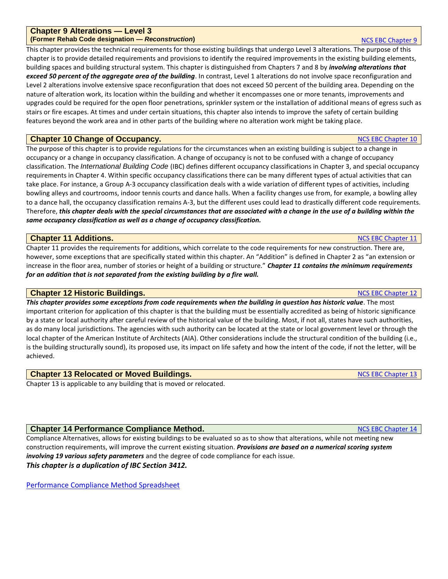#### **Chapter 9 Alterations — Level 3 (Former Rehab Code designation —** *Reconstruction***)** [NCS EBC Chapter](https://up.codes/viewer/north_carolina/iebc-2015/chapter/9/alterations-level-3#9) 9

This chapter provides the technical requirements for those existing buildings that undergo Level 3 alterations. The purpose of this chapter is to provide detailed requirements and provisions to identify the required improvements in the existing building elements, building spaces and building structural system. This chapter is distinguished from Chapters 7 and 8 by *involving alterations that exceed 50 percent of the aggregate area of the building*. In contrast, Level 1 alterations do not involve space reconfiguration and Level 2 alterations involve extensive space reconfiguration that does not exceed 50 percent of the building area. Depending on the nature of alteration work, its location within the building and whether it encompasses one or more tenants, improvements and upgrades could be required for the open floor penetrations, sprinkler system or the installation of additional means of egress such as stairs or fire escapes. At times and under certain situations, this chapter also intends to improve the safety of certain building features beyond the work area and in other parts of the building where no alteration work might be taking place.

#### **Chapter 10 Change of Occupancy.** Notice that the control of the control of the control of the chapter 10 [NCS EBC Chapter 10](https://up.codes/viewer/north_carolina/iebc-2015/chapter/10/change-of-occupancy#10)

The purpose of this chapter is to provide regulations for the circumstances when an existing building is subject to a change in occupancy or a change in occupancy classification. A change of occupancy is not to be confused with a change of occupancy classification. The *International Building Code* (IBC) defines different occupancy classifications in Chapter 3, and special occupancy requirements in Chapter 4. Within specific occupancy classifications there can be many different types of actual activities that can take place. For instance, a Group A-3 occupancy classification deals with a wide variation of different types of activities, including bowling alleys and courtrooms, indoor tennis courts and dance halls. When a facility changes use from, for example, a bowling alley to a dance hall, the occupancy classification remains A-3, but the different uses could lead to drastically different code requirements. Therefore, *this chapter deals with the special circumstances that are associated with a change in the use of a building within the same occupancy classification as well as a change of occupancy classification.*

#### **Chapter 11 Additions.** Note that the control of the control of the control of the control of the control of the control of the control of the control of the control of the control of the control of the control of the cont

Chapter 11 provides the requirements for additions, which correlate to the code requirements for new construction. There are, however, some exceptions that are specifically stated within this chapter. An "Addition" is defined in Chapter 2 as "an extension or increase in the floor area, number of stories or height of a building or structure." *Chapter 11 contains the minimum requirements for an addition that is not separated from the existing building by a fire wall.*

#### **Chapter 12 Historic Buildings.** [NCS EBC Chapter](https://up.codes/viewer/north_carolina/iebc-2015/chapter/12/historic-buildings#12) 12

*This chapter provides some exceptions from code requirements when the building in question has historic value*. The most important criterion for application of this chapter is that the building must be essentially accredited as being of historic significance by a state or local authority after careful review of the historical value of the building. Most, if not all, states have such authorities, as do many local jurisdictions. The agencies with such authority can be located at the state or local government level or through the local chapter of the American Institute of Architects (AIA). Other considerations include the structural condition of the building (i.e., is the building structurally sound), its proposed use, its impact on life safety and how the intent of the code, if not the letter, will be achieved.

#### **Chapter 13 Relocated or Moved Buildings.** Chapter 13 NOS EBC Chapter 13

Chapter 13 is applicable to any building that is moved or relocated.

#### **Chapter 14 Performance Compliance Method.** Note that the state of the state of the state of the state of the state of the state of the state of the state of the state of the state of the state of the state of the state of

Compliance Alternatives, allows for existing buildings to be evaluated so as to show that alterations, while not meeting new construction requirements, will improve the current existing situation. *Provisions are based on a numerical scoring system involving 19 various safety parameters* and the degree of code compliance for each issue. *This chapter is a duplication of IBC Section 3412.*

[Performance Compliance Method Spreadsheet](https://www.ncosfm.gov/2018-ncebc-chapter-14-spreadsheet)